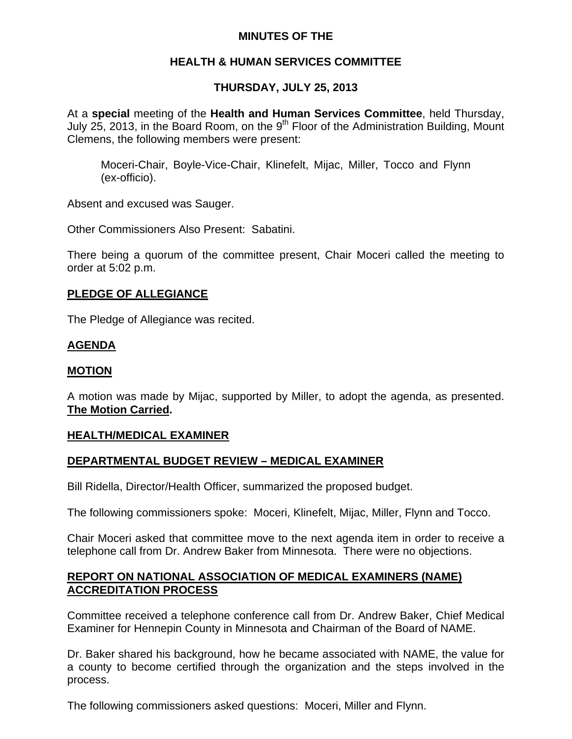## **MINUTES OF THE**

## **HEALTH & HUMAN SERVICES COMMITTEE**

# **THURSDAY, JULY 25, 2013**

At a **special** meeting of the **Health and Human Services Committee**, held Thursday, July 25, 2013, in the Board Room, on the  $9<sup>th</sup>$  Floor of the Administration Building, Mount Clemens, the following members were present:

Moceri-Chair, Boyle-Vice-Chair, Klinefelt, Mijac, Miller, Tocco and Flynn (ex-officio).

Absent and excused was Sauger.

Other Commissioners Also Present: Sabatini.

There being a quorum of the committee present, Chair Moceri called the meeting to order at 5:02 p.m.

### **PLEDGE OF ALLEGIANCE**

The Pledge of Allegiance was recited.

## **AGENDA**

## **MOTION**

A motion was made by Mijac, supported by Miller, to adopt the agenda, as presented. **The Motion Carried.** 

## **HEALTH/MEDICAL EXAMINER**

## **DEPARTMENTAL BUDGET REVIEW – MEDICAL EXAMINER**

Bill Ridella, Director/Health Officer, summarized the proposed budget.

The following commissioners spoke: Moceri, Klinefelt, Mijac, Miller, Flynn and Tocco.

Chair Moceri asked that committee move to the next agenda item in order to receive a telephone call from Dr. Andrew Baker from Minnesota. There were no objections.

### **REPORT ON NATIONAL ASSOCIATION OF MEDICAL EXAMINERS (NAME) ACCREDITATION PROCESS**

Committee received a telephone conference call from Dr. Andrew Baker, Chief Medical Examiner for Hennepin County in Minnesota and Chairman of the Board of NAME.

Dr. Baker shared his background, how he became associated with NAME, the value for a county to become certified through the organization and the steps involved in the process.

The following commissioners asked questions: Moceri, Miller and Flynn.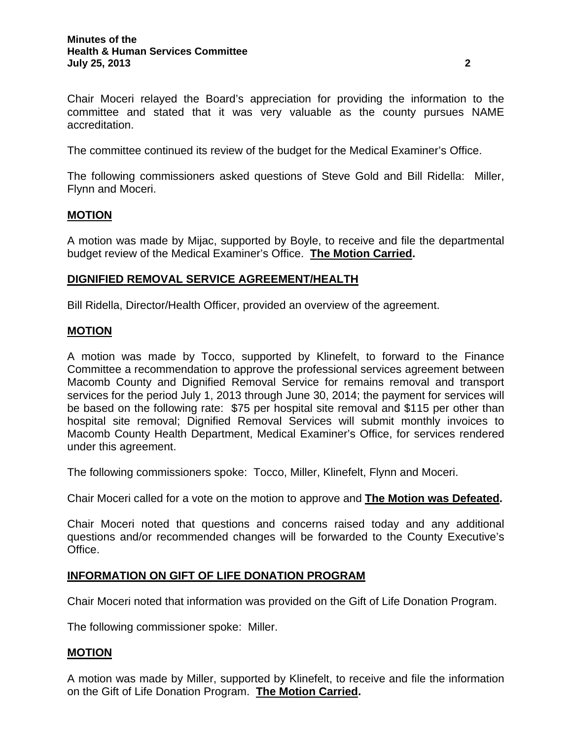Chair Moceri relayed the Board's appreciation for providing the information to the committee and stated that it was very valuable as the county pursues NAME accreditation.

The committee continued its review of the budget for the Medical Examiner's Office.

The following commissioners asked questions of Steve Gold and Bill Ridella: Miller, Flynn and Moceri.

### **MOTION**

A motion was made by Mijac, supported by Boyle, to receive and file the departmental budget review of the Medical Examiner's Office. **The Motion Carried.** 

### **DIGNIFIED REMOVAL SERVICE AGREEMENT/HEALTH**

Bill Ridella, Director/Health Officer, provided an overview of the agreement.

### **MOTION**

A motion was made by Tocco, supported by Klinefelt, to forward to the Finance Committee a recommendation to approve the professional services agreement between Macomb County and Dignified Removal Service for remains removal and transport services for the period July 1, 2013 through June 30, 2014; the payment for services will be based on the following rate: \$75 per hospital site removal and \$115 per other than hospital site removal; Dignified Removal Services will submit monthly invoices to Macomb County Health Department, Medical Examiner's Office, for services rendered under this agreement.

The following commissioners spoke: Tocco, Miller, Klinefelt, Flynn and Moceri.

Chair Moceri called for a vote on the motion to approve and **The Motion was Defeated.** 

Chair Moceri noted that questions and concerns raised today and any additional questions and/or recommended changes will be forwarded to the County Executive's Office.

### **INFORMATION ON GIFT OF LIFE DONATION PROGRAM**

Chair Moceri noted that information was provided on the Gift of Life Donation Program.

The following commissioner spoke: Miller.

### **MOTION**

A motion was made by Miller, supported by Klinefelt, to receive and file the information on the Gift of Life Donation Program. **The Motion Carried.**